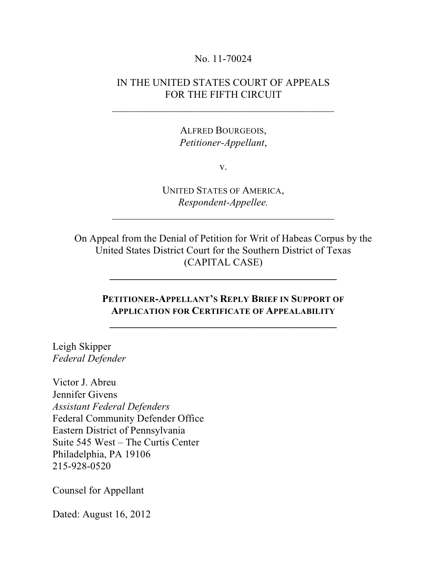#### No. 11-70024

### IN THE UNITED STATES COURT OF APPEALS FOR THE FIFTH CIRCUIT

\_\_\_\_\_\_\_\_\_\_\_\_\_\_\_\_\_\_\_\_\_\_\_\_\_\_\_\_\_\_\_\_\_\_\_\_\_\_\_\_\_\_\_

ALFRED BOURGEOIS, *Petitioner-Appellant*,

v.

UNITED STATES OF AMERICA, *Respondent-Appellee.*

 $\mathcal{L}_\mathcal{L}$  , which is a set of the set of the set of the set of the set of the set of the set of the set of the set of the set of the set of the set of the set of the set of the set of the set of the set of the set of

On Appeal from the Denial of Petition for Writ of Habeas Corpus by the United States District Court for the Southern District of Texas (CAPITAL CASE)

**\_\_\_\_\_\_\_\_\_\_\_\_\_\_\_\_\_\_\_\_\_\_\_\_\_\_\_\_\_\_\_\_\_\_\_\_\_\_\_\_\_\_\_\_**

### **PETITIONER-APPELLANT'S REPLY BRIEF IN SUPPORT OF APPLICATION FOR CERTIFICATE OF APPEALABILITY**

**\_\_\_\_\_\_\_\_\_\_\_\_\_\_\_\_\_\_\_\_\_\_\_\_\_\_\_\_\_\_\_\_\_\_\_\_\_\_\_\_\_\_\_\_**

Leigh Skipper *Federal Defender*

Victor J. Abreu Jennifer Givens *Assistant Federal Defenders* Federal Community Defender Office Eastern District of Pennsylvania Suite 545 West – The Curtis Center Philadelphia, PA 19106 215-928-0520

Counsel for Appellant

Dated: August 16, 2012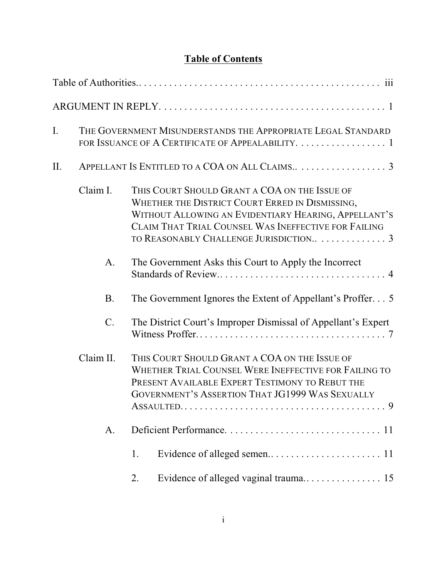# **Table of Contents**

| I.  |                                                | THE GOVERNMENT MISUNDERSTANDS THE APPROPRIATE LEGAL STANDARD<br>FOR ISSUANCE OF A CERTIFICATE OF APPEALABILITY. 1                                                                                                                                          |  |
|-----|------------------------------------------------|------------------------------------------------------------------------------------------------------------------------------------------------------------------------------------------------------------------------------------------------------------|--|
| II. | APPELLANT IS ENTITLED TO A COA ON ALL CLAIMS 3 |                                                                                                                                                                                                                                                            |  |
|     | Claim I.                                       | THIS COURT SHOULD GRANT A COA ON THE ISSUE OF<br>WHETHER THE DISTRICT COURT ERRED IN DISMISSING,<br>WITHOUT ALLOWING AN EVIDENTIARY HEARING, APPELLANT'S<br>CLAIM THAT TRIAL COUNSEL WAS INEFFECTIVE FOR FAILING<br>TO REASONABLY CHALLENGE JURISDICTION 3 |  |
|     | A.                                             | The Government Asks this Court to Apply the Incorrect                                                                                                                                                                                                      |  |
|     | B.                                             | The Government Ignores the Extent of Appellant's Proffer. 5                                                                                                                                                                                                |  |
|     | $C$ .                                          | The District Court's Improper Dismissal of Appellant's Expert                                                                                                                                                                                              |  |
|     | Claim II.                                      | THIS COURT SHOULD GRANT A COA ON THE ISSUE OF<br>WHETHER TRIAL COUNSEL WERE INEFFECTIVE FOR FAILING TO<br>PRESENT AVAILABLE EXPERT TESTIMONY TO REBUT THE<br><b>GOVERNMENT'S ASSERTION THAT JG1999 WAS SEXUALLY</b>                                        |  |
|     | A.                                             |                                                                                                                                                                                                                                                            |  |
|     |                                                | 1.                                                                                                                                                                                                                                                         |  |
|     |                                                | 2.                                                                                                                                                                                                                                                         |  |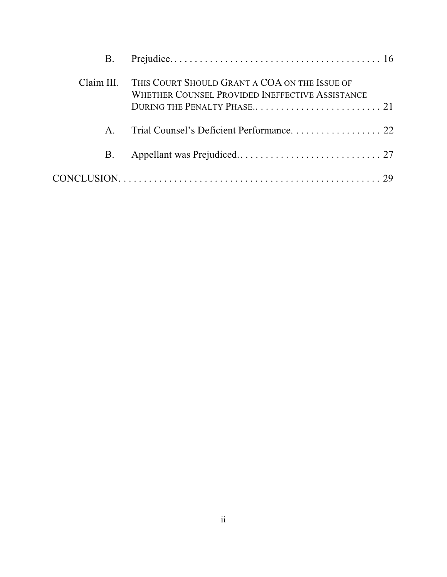| B.           |                                                                                                  |
|--------------|--------------------------------------------------------------------------------------------------|
| Claim III.   | THIS COURT SHOULD GRANT A COA ON THE ISSUE OF<br>WHETHER COUNSEL PROVIDED INEFFECTIVE ASSISTANCE |
| $\mathbf{A}$ |                                                                                                  |
| <b>B.</b>    |                                                                                                  |
|              |                                                                                                  |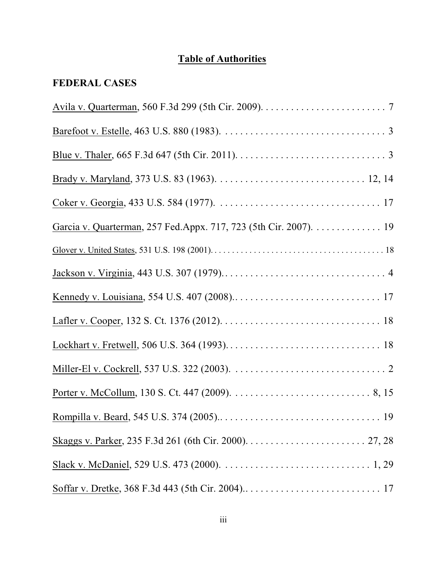# **Table of Authorities**

# **FEDERAL CASES**

| Garcia v. Quarterman, 257 Fed. Appx. 717, 723 (5th Cir. 2007). 19 |
|-------------------------------------------------------------------|
|                                                                   |
|                                                                   |
|                                                                   |
|                                                                   |
|                                                                   |
|                                                                   |
|                                                                   |
|                                                                   |
|                                                                   |
|                                                                   |
|                                                                   |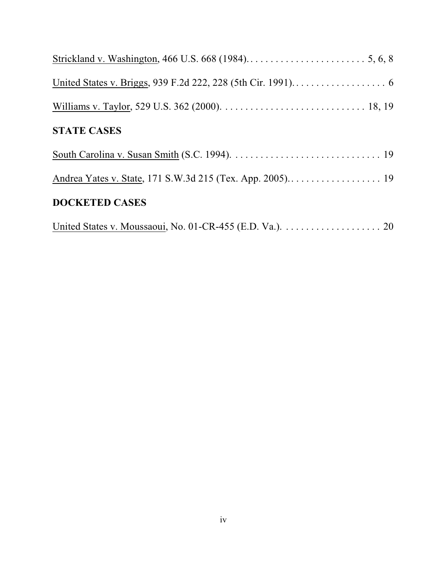| <b>STATE CASES</b>    |
|-----------------------|
|                       |
|                       |
| <b>DOCKETED CASES</b> |
|                       |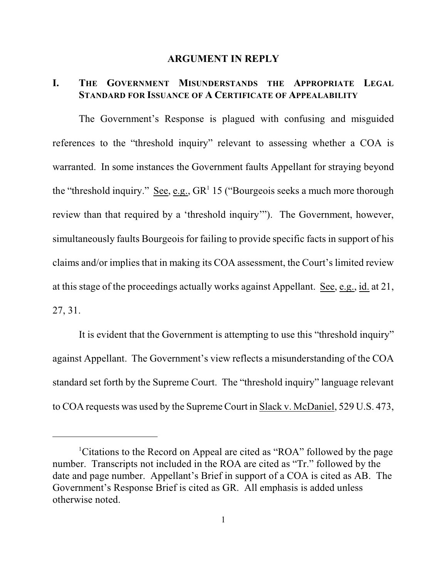#### **ARGUMENT IN REPLY**

## **I. THE GOVERNMENT MISUNDERSTANDS THE APPROPRIATE LEGAL STANDARD FOR ISSUANCE OF A CERTIFICATE OF APPEALABILITY**

The Government's Response is plagued with confusing and misguided references to the "threshold inquiry" relevant to assessing whether a COA is warranted. In some instances the Government faults Appellant for straying beyond the "threshold inquiry." See, e.g.,  $GR<sup>1</sup> 15$  ("Bourgeois seeks a much more thorough review than that required by a 'threshold inquiry'"). The Government, however, simultaneously faults Bourgeois for failing to provide specific facts in support of his claims and/or implies that in making its COA assessment, the Court's limited review at this stage of the proceedings actually works against Appellant. See, e.g., id. at 21, 27, 31.

It is evident that the Government is attempting to use this "threshold inquiry" against Appellant. The Government's view reflects a misunderstanding of the COA standard set forth by the Supreme Court. The "threshold inquiry" language relevant to COA requests was used by the Supreme Court in Slack v. McDaniel, 529 U.S. 473,

<sup>&</sup>lt;sup>1</sup>Citations to the Record on Appeal are cited as "ROA" followed by the page number. Transcripts not included in the ROA are cited as "Tr." followed by the date and page number. Appellant's Brief in support of a COA is cited as AB. The Government's Response Brief is cited as GR. All emphasis is added unless otherwise noted.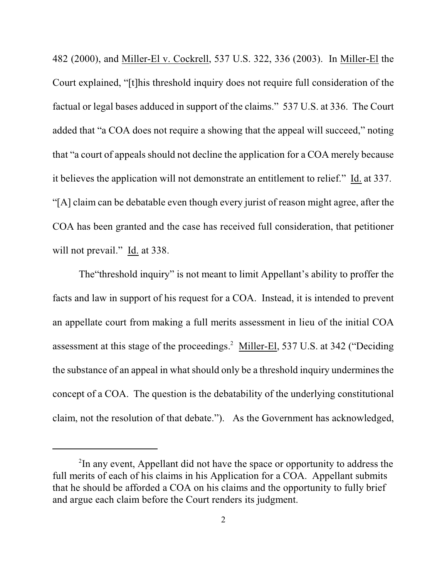482 (2000), and Miller-El v. Cockrell, 537 U.S. 322, 336 (2003). In Miller-El the Court explained, "[t]his threshold inquiry does not require full consideration of the factual or legal bases adduced in support of the claims." 537 U.S. at 336. The Court added that "a COA does not require a showing that the appeal will succeed," noting that "a court of appeals should not decline the application for a COA merely because it believes the application will not demonstrate an entitlement to relief." Id. at 337. "[A] claim can be debatable even though every jurist of reason might agree, after the COA has been granted and the case has received full consideration, that petitioner will not prevail." Id. at 338.

The"threshold inquiry" is not meant to limit Appellant's ability to proffer the facts and law in support of his request for a COA. Instead, it is intended to prevent an appellate court from making a full merits assessment in lieu of the initial COA assessment at this stage of the proceedings.<sup>2</sup> Miller-El, 537 U.S. at 342 ("Deciding the substance of an appeal in what should only be a threshold inquiry undermines the concept of a COA. The question is the debatability of the underlying constitutional claim, not the resolution of that debate."). As the Government has acknowledged,

<sup>&</sup>lt;sup>2</sup>In any event, Appellant did not have the space or opportunity to address the full merits of each of his claims in his Application for a COA. Appellant submits that he should be afforded a COA on his claims and the opportunity to fully brief and argue each claim before the Court renders its judgment.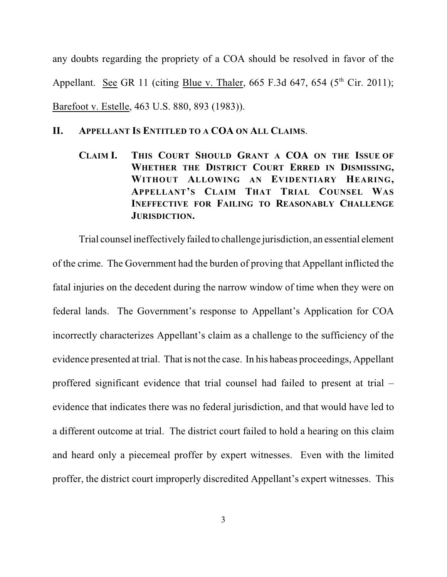any doubts regarding the propriety of a COA should be resolved in favor of the Appellant. See GR 11 (citing Blue v. Thaler, 665 F.3d 647, 654 ( $5<sup>th</sup>$  Cir. 2011); Barefoot v. Estelle, 463 U.S. 880, 893 (1983)).

#### **II. APPELLANT IS ENTITLED TO A COA ON ALL CLAIMS**.

**CLAIM I. THIS COURT SHOULD GRANT A COA ON THE ISSUE OF WHETHER THE DISTRICT COURT ERRED IN DISMISSING, WITHOUT ALLOWING AN EVIDENTIARY HEARING, APPELLANT'S CLAIM THAT TRIAL COUNSEL WAS INEFFECTIVE FOR FAILING TO REASONABLY CHALLENGE JURISDICTION.**

Trial counsel ineffectively failed to challenge jurisdiction, an essential element of the crime. The Government had the burden of proving that Appellant inflicted the fatal injuries on the decedent during the narrow window of time when they were on federal lands. The Government's response to Appellant's Application for COA incorrectly characterizes Appellant's claim as a challenge to the sufficiency of the evidence presented at trial. That is not the case. In his habeas proceedings, Appellant proffered significant evidence that trial counsel had failed to present at trial – evidence that indicates there was no federal jurisdiction, and that would have led to a different outcome at trial. The district court failed to hold a hearing on this claim and heard only a piecemeal proffer by expert witnesses. Even with the limited proffer, the district court improperly discredited Appellant's expert witnesses. This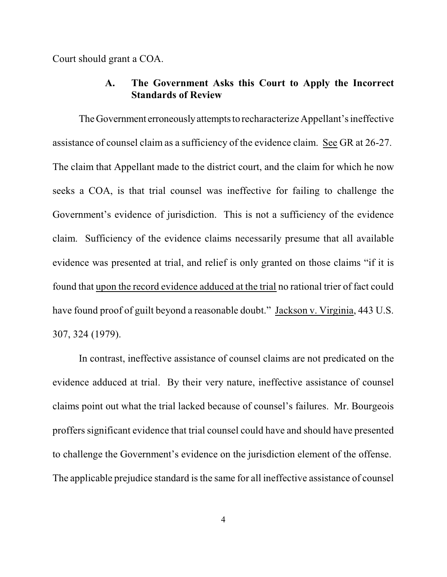Court should grant a COA.

### **A. The Government Asks this Court to Apply the Incorrect Standards of Review**

TheGovernment erroneously attemptsto recharacterize Appellant's ineffective assistance of counsel claim as a sufficiency of the evidence claim. See GR at 26-27. The claim that Appellant made to the district court, and the claim for which he now seeks a COA, is that trial counsel was ineffective for failing to challenge the Government's evidence of jurisdiction. This is not a sufficiency of the evidence claim. Sufficiency of the evidence claims necessarily presume that all available evidence was presented at trial, and relief is only granted on those claims "if it is found that upon the record evidence adduced at the trial no rational trier of fact could have found proof of guilt beyond a reasonable doubt." Jackson v. Virginia, 443 U.S. 307, 324 (1979).

In contrast, ineffective assistance of counsel claims are not predicated on the evidence adduced at trial. By their very nature, ineffective assistance of counsel claims point out what the trial lacked because of counsel's failures. Mr. Bourgeois proffers significant evidence that trial counsel could have and should have presented to challenge the Government's evidence on the jurisdiction element of the offense. The applicable prejudice standard is the same for all ineffective assistance of counsel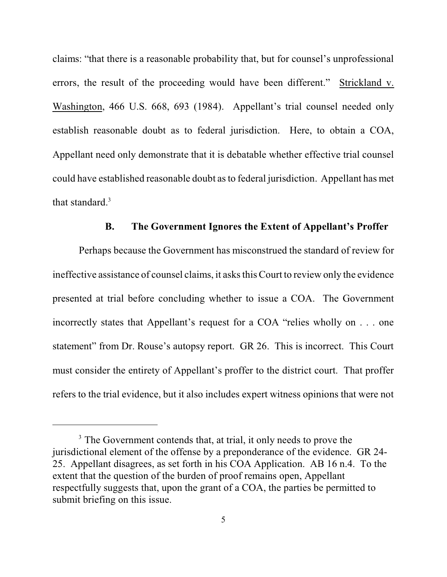claims: "that there is a reasonable probability that, but for counsel's unprofessional errors, the result of the proceeding would have been different." Strickland v. Washington, 466 U.S. 668, 693 (1984). Appellant's trial counsel needed only establish reasonable doubt as to federal jurisdiction. Here, to obtain a COA, Appellant need only demonstrate that it is debatable whether effective trial counsel could have established reasonable doubt asto federal jurisdiction. Appellant has met that standard.<sup>3</sup>

#### **B. The Government Ignores the Extent of Appellant's Proffer**

Perhaps because the Government has misconstrued the standard of review for ineffective assistance of counsel claims, it asksthisCourt to review only the evidence presented at trial before concluding whether to issue a COA. The Government incorrectly states that Appellant's request for a COA "relies wholly on . . . one statement" from Dr. Rouse's autopsy report. GR 26. This is incorrect. This Court must consider the entirety of Appellant's proffer to the district court. That proffer refers to the trial evidence, but it also includes expert witness opinions that were not

<sup>&</sup>lt;sup>3</sup> The Government contends that, at trial, it only needs to prove the jurisdictional element of the offense by a preponderance of the evidence. GR 24- 25. Appellant disagrees, as set forth in his COA Application. AB 16 n.4. To the extent that the question of the burden of proof remains open, Appellant respectfully suggests that, upon the grant of a COA, the parties be permitted to submit briefing on this issue.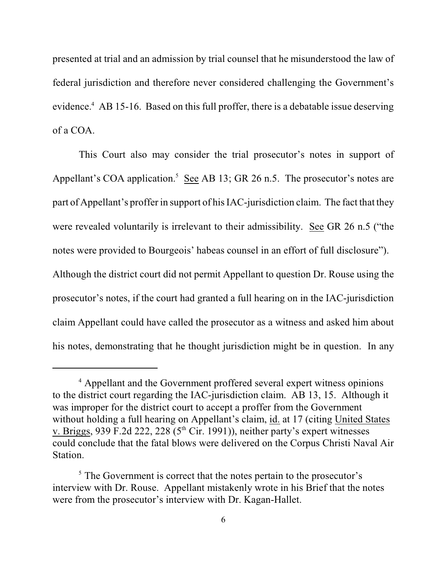presented at trial and an admission by trial counsel that he misunderstood the law of federal jurisdiction and therefore never considered challenging the Government's evidence.<sup>4</sup> AB 15-16. Based on this full proffer, there is a debatable issue deserving of a COA.

This Court also may consider the trial prosecutor's notes in support of Appellant's COA application.<sup>5</sup> See AB 13; GR 26 n.5. The prosecutor's notes are part of Appellant's proffer in support of his IAC-jurisdiction claim. The fact that they were revealed voluntarily is irrelevant to their admissibility. See GR 26 n.5 ("the notes were provided to Bourgeois' habeas counsel in an effort of full disclosure"). Although the district court did not permit Appellant to question Dr. Rouse using the prosecutor's notes, if the court had granted a full hearing on in the IAC-jurisdiction claim Appellant could have called the prosecutor as a witness and asked him about his notes, demonstrating that he thought jurisdiction might be in question. In any

<sup>&</sup>lt;sup>4</sup> Appellant and the Government proffered several expert witness opinions to the district court regarding the IAC-jurisdiction claim. AB 13, 15. Although it was improper for the district court to accept a proffer from the Government without holding a full hearing on Appellant's claim, id. at 17 (citing United States v. Briggs, 939 F.2d 222, 228 ( $5<sup>th</sup>$  Cir. 1991)), neither party's expert witnesses could conclude that the fatal blows were delivered on the Corpus Christi Naval Air Station.

 $\frac{5}{5}$ . The Government is correct that the notes pertain to the prosecutor's interview with Dr. Rouse. Appellant mistakenly wrote in his Brief that the notes were from the prosecutor's interview with Dr. Kagan-Hallet.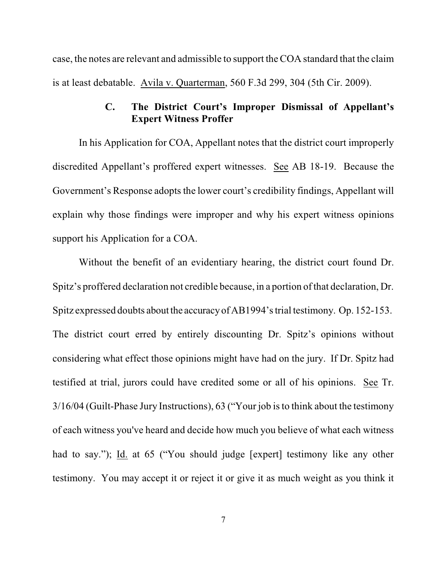case, the notes are relevant and admissible to support the COA standard that the claim is at least debatable. Avila v. Quarterman, 560 F.3d 299, 304 (5th Cir. 2009).

### **C. The District Court's Improper Dismissal of Appellant's Expert Witness Proffer**

In his Application for COA, Appellant notes that the district court improperly discredited Appellant's proffered expert witnesses. See AB 18-19. Because the Government's Response adopts the lower court's credibility findings, Appellant will explain why those findings were improper and why his expert witness opinions support his Application for a COA.

Without the benefit of an evidentiary hearing, the district court found Dr. Spitz's proffered declaration not credible because, in a portion of that declaration, Dr. Spitz expressed doubts about the accuracy of AB1994's trial testimony. Op. 152-153. The district court erred by entirely discounting Dr. Spitz's opinions without considering what effect those opinions might have had on the jury. If Dr. Spitz had testified at trial, jurors could have credited some or all of his opinions. See Tr. 3/16/04 (Guilt-Phase Jury Instructions), 63 ("Your job isto think about the testimony of each witness you've heard and decide how much you believe of what each witness had to say."); Id. at 65 ("You should judge [expert] testimony like any other testimony. You may accept it or reject it or give it as much weight as you think it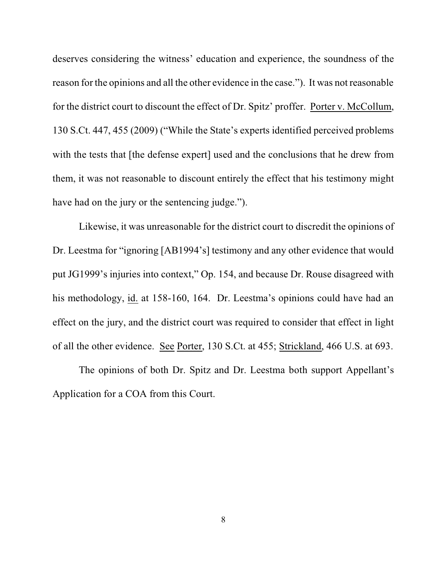deserves considering the witness' education and experience, the soundness of the reason for the opinions and all the other evidence in the case."). It was not reasonable for the district court to discount the effect of Dr. Spitz' proffer. Porter v. McCollum, 130 S.Ct. 447, 455 (2009) ("While the State's experts identified perceived problems with the tests that [the defense expert] used and the conclusions that he drew from them, it was not reasonable to discount entirely the effect that his testimony might have had on the jury or the sentencing judge.").

Likewise, it was unreasonable for the district court to discredit the opinions of Dr. Leestma for "ignoring [AB1994's] testimony and any other evidence that would put JG1999's injuries into context," Op. 154, and because Dr. Rouse disagreed with his methodology, id. at 158-160, 164. Dr. Leestma's opinions could have had an effect on the jury, and the district court was required to consider that effect in light of all the other evidence. See Porter, 130 S.Ct. at 455; Strickland, 466 U.S. at 693.

The opinions of both Dr. Spitz and Dr. Leestma both support Appellant's Application for a COA from this Court.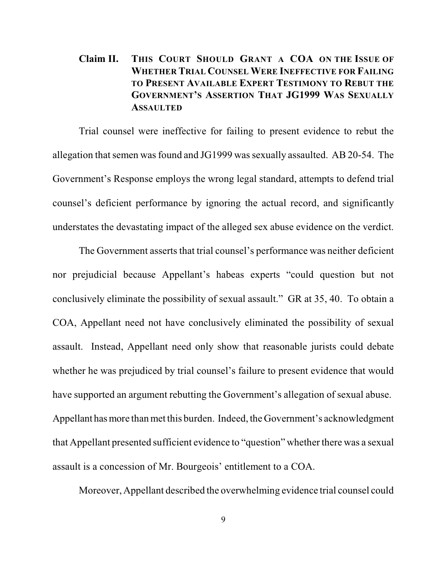## **Claim II. THIS COURT SHOULD GRANT A COA ON THE ISSUE OF WHETHER TRIAL COUNSEL WERE INEFFECTIVE FOR FAILING TO PRESENT AVAILABLE EXPERT TESTIMONY TO REBUT THE GOVERNMENT'S ASSERTION THAT JG1999 WAS SEXUALLY ASSAULTED**

Trial counsel were ineffective for failing to present evidence to rebut the allegation that semen was found and JG1999 was sexually assaulted. AB 20-54. The Government's Response employs the wrong legal standard, attempts to defend trial counsel's deficient performance by ignoring the actual record, and significantly understates the devastating impact of the alleged sex abuse evidence on the verdict.

The Government asserts that trial counsel's performance was neither deficient nor prejudicial because Appellant's habeas experts "could question but not conclusively eliminate the possibility of sexual assault." GR at 35, 40. To obtain a COA, Appellant need not have conclusively eliminated the possibility of sexual assault. Instead, Appellant need only show that reasonable jurists could debate whether he was prejudiced by trial counsel's failure to present evidence that would have supported an argument rebutting the Government's allegation of sexual abuse. Appellant has more than met this burden. Indeed, the Government's acknowledgment that Appellant presented sufficient evidence to "question" whether there was a sexual assault is a concession of Mr. Bourgeois' entitlement to a COA.

Moreover, Appellant described the overwhelming evidence trial counsel could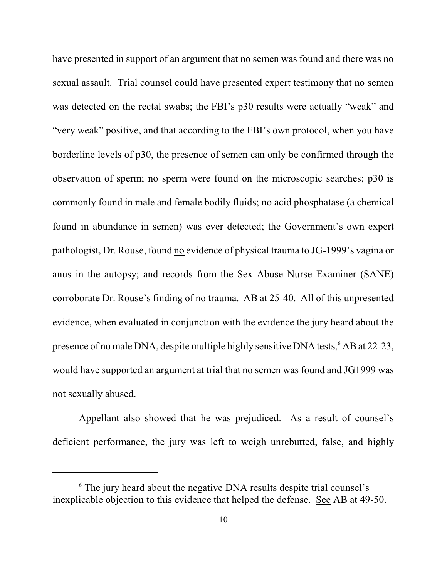have presented in support of an argument that no semen was found and there was no sexual assault. Trial counsel could have presented expert testimony that no semen was detected on the rectal swabs; the FBI's p30 results were actually "weak" and "very weak" positive, and that according to the FBI's own protocol, when you have borderline levels of p30, the presence of semen can only be confirmed through the observation of sperm; no sperm were found on the microscopic searches; p30 is commonly found in male and female bodily fluids; no acid phosphatase (a chemical found in abundance in semen) was ever detected; the Government's own expert pathologist, Dr. Rouse, found no evidence of physical trauma to JG-1999's vagina or anus in the autopsy; and records from the Sex Abuse Nurse Examiner (SANE) corroborate Dr. Rouse's finding of no trauma. AB at 25-40. All of this unpresented evidence, when evaluated in conjunction with the evidence the jury heard about the presence of no male DNA, despite multiple highly sensitive DNA tests,  $6$  AB at 22-23, would have supported an argument at trial that no semen was found and JG1999 was not sexually abused.

Appellant also showed that he was prejudiced. As a result of counsel's deficient performance, the jury was left to weigh unrebutted, false, and highly

 $\delta$  The jury heard about the negative DNA results despite trial counsel's inexplicable objection to this evidence that helped the defense. See AB at 49-50.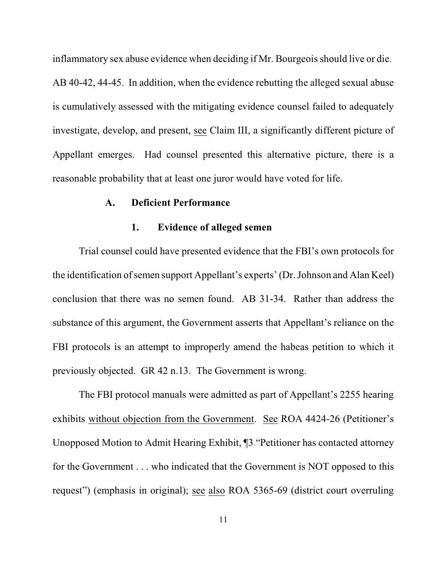inflammatory sex abuse evidence when deciding if Mr. Bourgeois should live or die.

AB 40-42, 44-45. In addition, when the evidence rebutting the alleged sexual abuse is cumulatively assessed with the mitigating evidence counsel failed to adequately investigate, develop, and present, see Claim III, a significantly different picture of Appellant emerges. Had counsel presented this alternative picture, there is a reasonable probability that at least one juror would have voted for life.

#### **A. Deficient Performance**

#### **1. Evidence of alleged semen**

Trial counsel could have presented evidence that the FBI's own protocols for the identification ofsemen support Appellant's experts' (Dr. Johnson and Alan Keel) conclusion that there was no semen found. AB 31-34. Rather than address the substance of this argument, the Government asserts that Appellant's reliance on the FBI protocols is an attempt to improperly amend the habeas petition to which it previously objected. GR 42 n.13. The Government is wrong.

The FBI protocol manuals were admitted as part of Appellant's 2255 hearing exhibits without objection from the Government. See ROA 4424-26 (Petitioner's Unopposed Motion to Admit Hearing Exhibit, ¶3 "Petitioner has contacted attorney for the Government . . . who indicated that the Government is NOT opposed to this request") (emphasis in original); see also ROA 5365-69 (district court overruling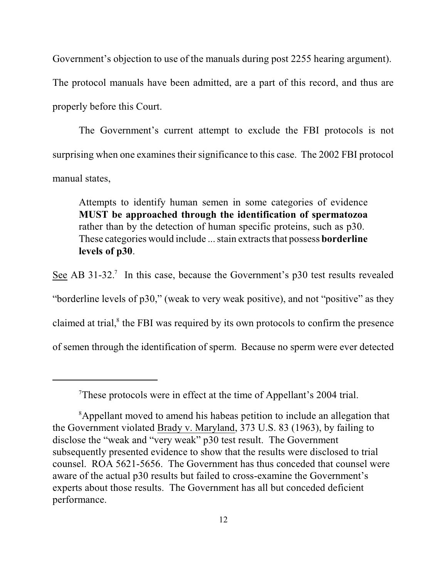Government's objection to use of the manuals during post 2255 hearing argument).

The protocol manuals have been admitted, are a part of this record, and thus are properly before this Court.

The Government's current attempt to exclude the FBI protocols is not surprising when one examines their significance to this case. The 2002 FBI protocol manual states,

Attempts to identify human semen in some categories of evidence **MUST be approached through the identification of spermatozoa** rather than by the detection of human specific proteins, such as p30. These categories would include ... stain extracts that possess **borderline levels of p30**.

See AB 31-32.<sup>7</sup> In this case, because the Government's p30 test results revealed "borderline levels of p30," (weak to very weak positive), and not "positive" as they claimed at trial, $\delta$  the FBI was required by its own protocols to confirm the presence of semen through the identification of sperm. Because no sperm were ever detected

These protocols were in effect at the time of Appellant's 2004 trial.

<sup>&</sup>lt;sup>8</sup>Appellant moved to amend his habeas petition to include an allegation that the Government violated Brady v. Maryland, 373 U.S. 83 (1963), by failing to disclose the "weak and "very weak" p30 test result. The Government subsequently presented evidence to show that the results were disclosed to trial counsel. ROA 5621-5656. The Government has thus conceded that counsel were aware of the actual p30 results but failed to cross-examine the Government's experts about those results. The Government has all but conceded deficient performance.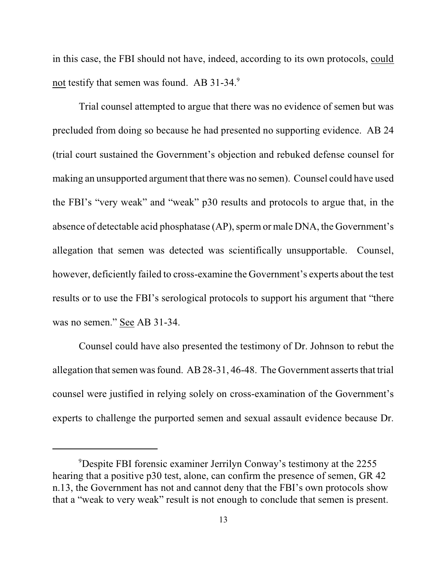in this case, the FBI should not have, indeed, according to its own protocols, could not testify that semen was found. AB 31-34.9

Trial counsel attempted to argue that there was no evidence of semen but was precluded from doing so because he had presented no supporting evidence. AB 24 (trial court sustained the Government's objection and rebuked defense counsel for making an unsupported argument that there was no semen). Counsel could have used the FBI's "very weak" and "weak" p30 results and protocols to argue that, in the absence of detectable acid phosphatase (AP), sperm or male DNA, the Government's allegation that semen was detected was scientifically unsupportable. Counsel, however, deficiently failed to cross-examine the Government's experts about the test results or to use the FBI's serological protocols to support his argument that "there was no semen." See AB 31-34.

Counsel could have also presented the testimony of Dr. Johnson to rebut the allegation that semen was found. AB  $28-31$ , 46-48. The Government asserts that trial counsel were justified in relying solely on cross-examination of the Government's experts to challenge the purported semen and sexual assault evidence because Dr.

<sup>&</sup>lt;sup>9</sup>Despite FBI forensic examiner Jerrilyn Conway's testimony at the 2255 hearing that a positive p30 test, alone, can confirm the presence of semen, GR 42 n.13, the Government has not and cannot deny that the FBI's own protocols show that a "weak to very weak" result is not enough to conclude that semen is present.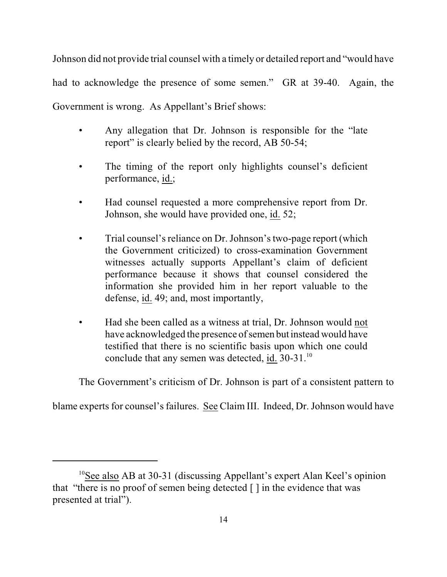Johnson did not provide trial counsel with a timely or detailed report and "would have had to acknowledge the presence of some semen." GR at 39-40. Again, the Government is wrong. As Appellant's Brief shows:

- Any allegation that Dr. Johnson is responsible for the "late" report" is clearly belied by the record, AB 50-54;
- The timing of the report only highlights counsel's deficient performance, id.;
- Had counsel requested a more comprehensive report from Dr. Johnson, she would have provided one, id. 52;
- Trial counsel's reliance on Dr. Johnson's two-page report (which the Government criticized) to cross-examination Government witnesses actually supports Appellant's claim of deficient performance because it shows that counsel considered the information she provided him in her report valuable to the defense, id. 49; and, most importantly,
- Had she been called as a witness at trial, Dr. Johnson would not have acknowledged the presence of semen but instead would have testified that there is no scientific basis upon which one could conclude that any semen was detected, id. 30-31.<sup>10</sup>

The Government's criticism of Dr. Johnson is part of a consistent pattern to

blame experts for counsel's failures. See Claim III. Indeed, Dr. Johnson would have

<sup>&</sup>lt;sup>10</sup>See also AB at 30-31 (discussing Appellant's expert Alan Keel's opinion that "there is no proof of semen being detected  $\lceil \cdot \rceil$  in the evidence that was presented at trial").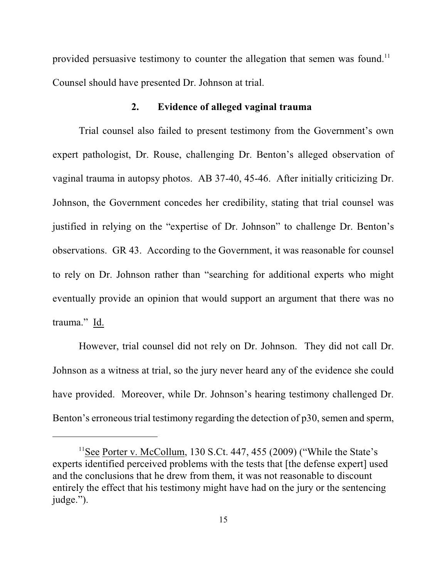provided persuasive testimony to counter the allegation that semen was found.<sup>11</sup> Counsel should have presented Dr. Johnson at trial.

### **2. Evidence of alleged vaginal trauma**

Trial counsel also failed to present testimony from the Government's own expert pathologist, Dr. Rouse, challenging Dr. Benton's alleged observation of vaginal trauma in autopsy photos. AB 37-40, 45-46. After initially criticizing Dr. Johnson, the Government concedes her credibility, stating that trial counsel was justified in relying on the "expertise of Dr. Johnson" to challenge Dr. Benton's observations. GR 43. According to the Government, it was reasonable for counsel to rely on Dr. Johnson rather than "searching for additional experts who might eventually provide an opinion that would support an argument that there was no trauma." Id.

However, trial counsel did not rely on Dr. Johnson. They did not call Dr. Johnson as a witness at trial, so the jury never heard any of the evidence she could have provided. Moreover, while Dr. Johnson's hearing testimony challenged Dr. Benton's erroneous trial testimony regarding the detection of p30, semen and sperm,

<sup>&</sup>lt;sup>11</sup>See Porter v. McCollum, 130 S.Ct. 447, 455 (2009) ("While the State's experts identified perceived problems with the tests that [the defense expert] used and the conclusions that he drew from them, it was not reasonable to discount entirely the effect that his testimony might have had on the jury or the sentencing judge.").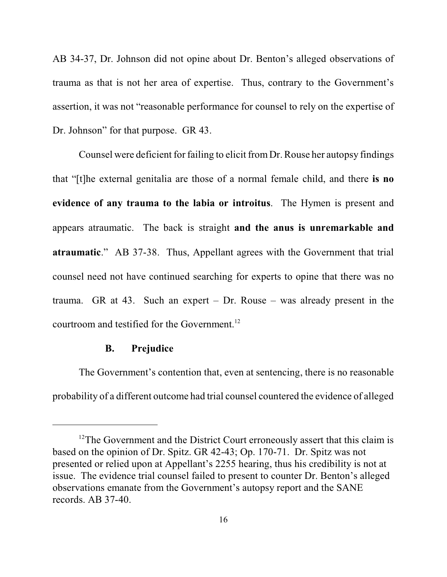AB 34-37, Dr. Johnson did not opine about Dr. Benton's alleged observations of trauma as that is not her area of expertise. Thus, contrary to the Government's assertion, it was not "reasonable performance for counsel to rely on the expertise of Dr. Johnson" for that purpose. GR 43.

Counsel were deficient for failing to elicit fromDr. Rouse her autopsy findings that "[t]he external genitalia are those of a normal female child, and there **is no evidence of any trauma to the labia or introitus**. The Hymen is present and appears atraumatic. The back is straight **and the anus is unremarkable and atraumatic**." AB 37-38. Thus, Appellant agrees with the Government that trial counsel need not have continued searching for experts to opine that there was no trauma. GR at 43. Such an expert – Dr. Rouse – was already present in the courtroom and testified for the Government.<sup>12</sup>

#### **B. Prejudice**

The Government's contention that, even at sentencing, there is no reasonable probability of a different outcome had trial counsel countered the evidence of alleged

 $12$ The Government and the District Court erroneously assert that this claim is based on the opinion of Dr. Spitz. GR 42-43; Op. 170-71. Dr. Spitz was not presented or relied upon at Appellant's 2255 hearing, thus his credibility is not at issue. The evidence trial counsel failed to present to counter Dr. Benton's alleged observations emanate from the Government's autopsy report and the SANE records. AB 37-40.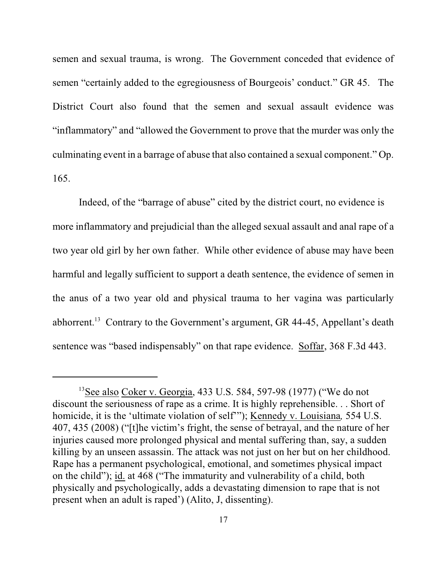semen and sexual trauma, is wrong. The Government conceded that evidence of semen "certainly added to the egregiousness of Bourgeois' conduct." GR 45. The District Court also found that the semen and sexual assault evidence was "inflammatory" and "allowed the Government to prove that the murder was only the culminating event in a barrage of abuse that also contained a sexual component." Op. 165.

Indeed, of the "barrage of abuse" cited by the district court, no evidence is more inflammatory and prejudicial than the alleged sexual assault and anal rape of a two year old girl by her own father. While other evidence of abuse may have been harmful and legally sufficient to support a death sentence, the evidence of semen in the anus of a two year old and physical trauma to her vagina was particularly abhorrent.<sup>13</sup> Contrary to the Government's argument, GR 44-45, Appellant's death sentence was "based indispensably" on that rape evidence. Soffar, 368 F.3d 443.

<sup>&</sup>lt;sup>13</sup>See also Coker v. Georgia, 433 U.S. 584, 597-98 (1977) ("We do not discount the seriousness of rape as a crime. It is highly reprehensible. . . Short of homicide, it is the 'ultimate violation of self'"); Kennedy v. Louisiana*,* 554 U.S. 407, 435 (2008) ("[t]he victim's fright, the sense of betrayal, and the nature of her injuries caused more prolonged physical and mental suffering than, say, a sudden killing by an unseen assassin. The attack was not just on her but on her childhood. Rape has a permanent psychological, emotional, and sometimes physical impact on the child"); id. at 468 ("The immaturity and vulnerability of a child, both physically and psychologically, adds a devastating dimension to rape that is not present when an adult is raped') (Alito, J, dissenting).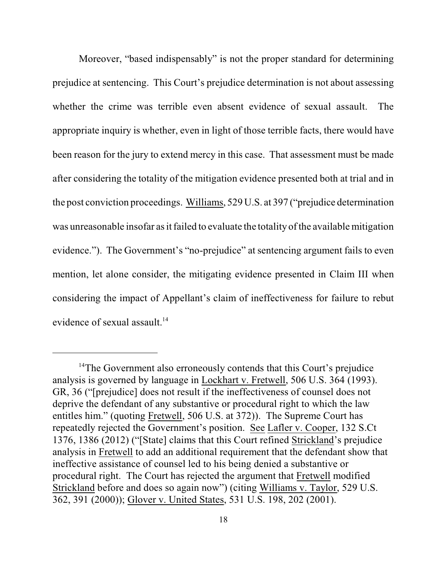Moreover, "based indispensably" is not the proper standard for determining prejudice at sentencing. This Court's prejudice determination is not about assessing whether the crime was terrible even absent evidence of sexual assault. The appropriate inquiry is whether, even in light of those terrible facts, there would have been reason for the jury to extend mercy in this case. That assessment must be made after considering the totality of the mitigation evidence presented both at trial and in the post conviction proceedings. Williams, 529 U.S. at 397 ("prejudice determination was unreasonable insofar as it failed to evaluate the totality of the available mitigation evidence."). The Government's "no-prejudice" at sentencing argument fails to even mention, let alone consider, the mitigating evidence presented in Claim III when considering the impact of Appellant's claim of ineffectiveness for failure to rebut evidence of sexual assault. 14

<sup>&</sup>lt;sup>14</sup>The Government also erroneously contends that this Court's prejudice analysis is governed by language in Lockhart v. Fretwell, 506 U.S. 364 (1993). GR, 36 ("[prejudice] does not result if the ineffectiveness of counsel does not deprive the defendant of any substantive or procedural right to which the law entitles him." (quoting Fretwell, 506 U.S. at 372)). The Supreme Court has repeatedly rejected the Government's position. See Lafler v. Cooper, 132 S.Ct 1376, 1386 (2012) ("[State] claims that this Court refined Strickland's prejudice analysis in Fretwell to add an additional requirement that the defendant show that ineffective assistance of counsel led to his being denied a substantive or procedural right. The Court has rejected the argument that Fretwell modified Strickland before and does so again now") (citing Williams v. Taylor, 529 U.S. 362, 391 (2000)); Glover v. United States, 531 U.S. 198, 202 (2001).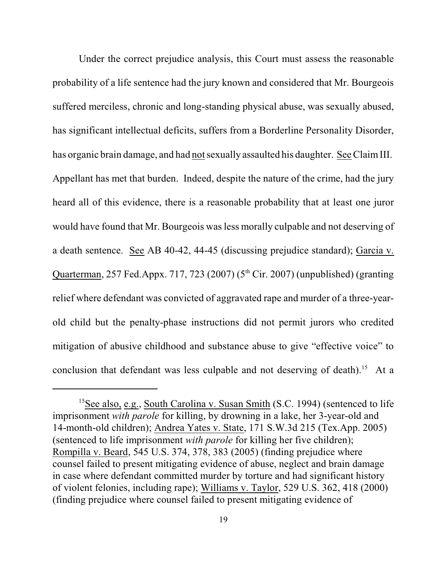Under the correct prejudice analysis, this Court must assess the reasonable probability of a life sentence had the jury known and considered that Mr. Bourgeois suffered merciless, chronic and long-standing physical abuse, was sexually abused, has significant intellectual deficits, suffers from a Borderline Personality Disorder, has organic brain damage, and had not sexually assaulted his daughter. See ClaimIII. Appellant has met that burden. Indeed, despite the nature of the crime, had the jury heard all of this evidence, there is a reasonable probability that at least one juror would have found that Mr. Bourgeois wasless morally culpable and not deserving of a death sentence. See AB 40-42, 44-45 (discussing prejudice standard); Garcia v. Quarterman, 257 Fed.Appx. 717, 723 (2007) ( $5<sup>th</sup> Cir. 2007$ ) (unpublished) (granting relief where defendant was convicted of aggravated rape and murder of a three-yearold child but the penalty-phase instructions did not permit jurors who credited mitigation of abusive childhood and substance abuse to give "effective voice" to conclusion that defendant was less culpable and not deserving of death).<sup>15</sup> At a

<sup>&</sup>lt;sup>15</sup>See also, e.g., South Carolina v. Susan Smith (S.C. 1994) (sentenced to life imprisonment *with parole* for killing, by drowning in a lake, her 3-year-old and 14-month-old children); Andrea Yates v. State, 171 S.W.3d 215 (Tex.App. 2005) (sentenced to life imprisonment *with parole* for killing her five children); Rompilla v. Beard, 545 U.S. 374, 378, 383 (2005) (finding prejudice where counsel failed to present mitigating evidence of abuse, neglect and brain damage in case where defendant committed murder by torture and had significant history of violent felonies, including rape); Williams v. Taylor, 529 U.S. 362, 418 (2000) (finding prejudice where counsel failed to present mitigating evidence of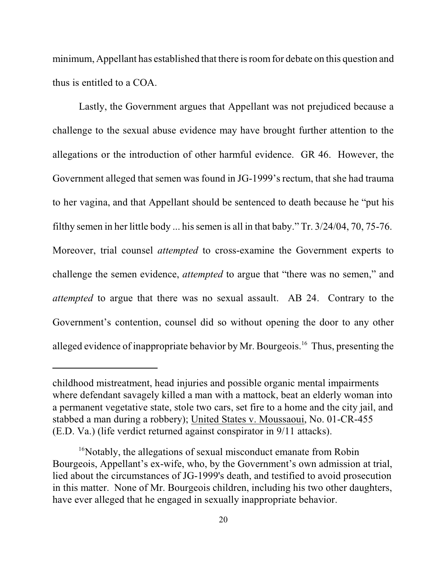minimum, Appellant has established that there is room for debate on this question and thus is entitled to a COA.

Lastly, the Government argues that Appellant was not prejudiced because a challenge to the sexual abuse evidence may have brought further attention to the allegations or the introduction of other harmful evidence. GR 46. However, the Government alleged that semen was found in JG-1999's rectum, that she had trauma to her vagina, and that Appellant should be sentenced to death because he "put his filthy semen in her little body ... his semen is all in that baby." Tr. 3/24/04, 70, 75-76. Moreover, trial counsel *attempted* to cross-examine the Government experts to challenge the semen evidence, *attempted* to argue that "there was no semen," and *attempted* to argue that there was no sexual assault. AB 24. Contrary to the Government's contention, counsel did so without opening the door to any other alleged evidence of inappropriate behavior by Mr. Bourgeois.<sup>16</sup> Thus, presenting the

childhood mistreatment, head injuries and possible organic mental impairments where defendant savagely killed a man with a mattock, beat an elderly woman into a permanent vegetative state, stole two cars, set fire to a home and the city jail, and stabbed a man during a robbery); United States v. Moussaoui, No. 01-CR-455 (E.D. Va.) (life verdict returned against conspirator in 9/11 attacks).

<sup>&</sup>lt;sup>16</sup>Notably, the allegations of sexual misconduct emanate from Robin Bourgeois, Appellant's ex-wife, who, by the Government's own admission at trial, lied about the circumstances of JG-1999's death, and testified to avoid prosecution in this matter. None of Mr. Bourgeois children, including his two other daughters, have ever alleged that he engaged in sexually inappropriate behavior.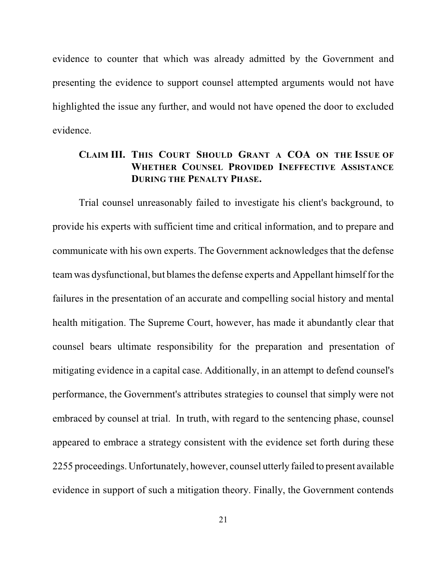evidence to counter that which was already admitted by the Government and presenting the evidence to support counsel attempted arguments would not have highlighted the issue any further, and would not have opened the door to excluded evidence.

## **CLAIM III. THIS COURT SHOULD GRANT A COA ON THE ISSUE OF WHETHER COUNSEL PROVIDED INEFFECTIVE ASSISTANCE DURING THE PENALTY PHASE.**

Trial counsel unreasonably failed to investigate his client's background, to provide his experts with sufficient time and critical information, and to prepare and communicate with his own experts. The Government acknowledges that the defense team was dysfunctional, but blames the defense experts and Appellant himself for the failures in the presentation of an accurate and compelling social history and mental health mitigation. The Supreme Court, however, has made it abundantly clear that counsel bears ultimate responsibility for the preparation and presentation of mitigating evidence in a capital case. Additionally, in an attempt to defend counsel's performance, the Government's attributes strategies to counsel that simply were not embraced by counsel at trial. In truth, with regard to the sentencing phase, counsel appeared to embrace a strategy consistent with the evidence set forth during these 2255 proceedings. Unfortunately, however, counsel utterly failed to present available evidence in support of such a mitigation theory. Finally, the Government contends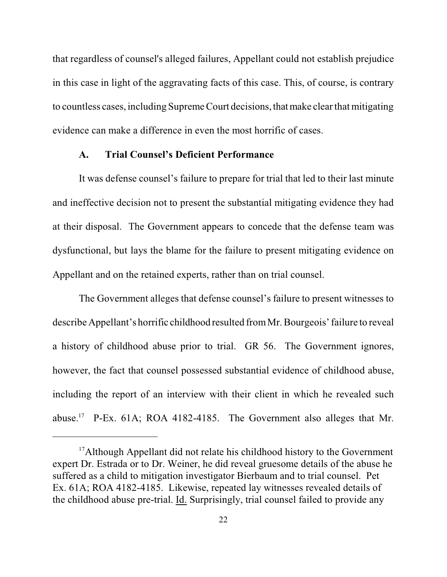that regardless of counsel's alleged failures, Appellant could not establish prejudice in this case in light of the aggravating facts of this case. This, of course, is contrary to countless cases, including Supreme Court decisions, that make clear that mitigating evidence can make a difference in even the most horrific of cases.

#### **A. Trial Counsel's Deficient Performance**

It was defense counsel's failure to prepare for trial that led to their last minute and ineffective decision not to present the substantial mitigating evidence they had at their disposal. The Government appears to concede that the defense team was dysfunctional, but lays the blame for the failure to present mitigating evidence on Appellant and on the retained experts, rather than on trial counsel.

The Government alleges that defense counsel's failure to present witnesses to describe Appellant's horrific childhood resulted fromMr. Bourgeois' failure to reveal a history of childhood abuse prior to trial. GR 56. The Government ignores, however, the fact that counsel possessed substantial evidence of childhood abuse, including the report of an interview with their client in which he revealed such abuse.<sup>17</sup> P-Ex. 61A; ROA 4182-4185. The Government also alleges that Mr.

<sup>&</sup>lt;sup>17</sup> Although Appellant did not relate his childhood history to the Government expert Dr. Estrada or to Dr. Weiner, he did reveal gruesome details of the abuse he suffered as a child to mitigation investigator Bierbaum and to trial counsel. Pet Ex. 61A; ROA 4182-4185. Likewise, repeated lay witnesses revealed details of the childhood abuse pre-trial. Id. Surprisingly, trial counsel failed to provide any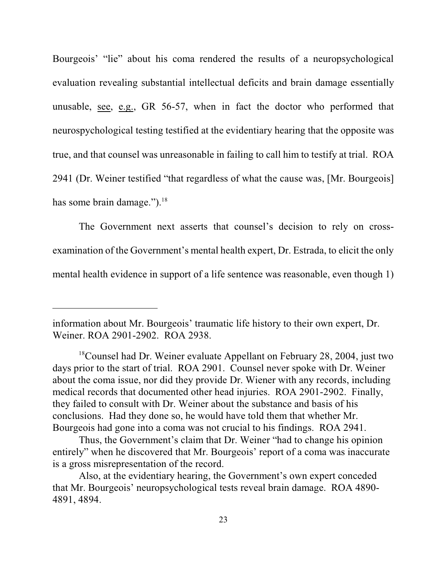Bourgeois' "lie" about his coma rendered the results of a neuropsychological evaluation revealing substantial intellectual deficits and brain damage essentially unusable, see, e.g., GR 56-57, when in fact the doctor who performed that neurospychological testing testified at the evidentiary hearing that the opposite was true, and that counsel was unreasonable in failing to call him to testify at trial. ROA 2941 (Dr. Weiner testified "that regardless of what the cause was, [Mr. Bourgeois] has some brain damage.").<sup>18</sup>

The Government next asserts that counsel's decision to rely on crossexamination of the Government's mental health expert, Dr. Estrada, to elicit the only mental health evidence in support of a life sentence was reasonable, even though 1)

information about Mr. Bourgeois' traumatic life history to their own expert, Dr. Weiner. ROA 2901-2902. ROA 2938.

<sup>&</sup>lt;sup>18</sup> Counsel had Dr. Weiner evaluate Appellant on February 28, 2004, just two days prior to the start of trial. ROA 2901. Counsel never spoke with Dr. Weiner about the coma issue, nor did they provide Dr. Wiener with any records, including medical records that documented other head injuries. ROA 2901-2902. Finally, they failed to consult with Dr. Weiner about the substance and basis of his conclusions. Had they done so, he would have told them that whether Mr. Bourgeois had gone into a coma was not crucial to his findings. ROA 2941.

Thus, the Government's claim that Dr. Weiner "had to change his opinion entirely" when he discovered that Mr. Bourgeois' report of a coma was inaccurate is a gross misrepresentation of the record.

Also, at the evidentiary hearing, the Government's own expert conceded that Mr. Bourgeois' neuropsychological tests reveal brain damage. ROA 4890- 4891, 4894.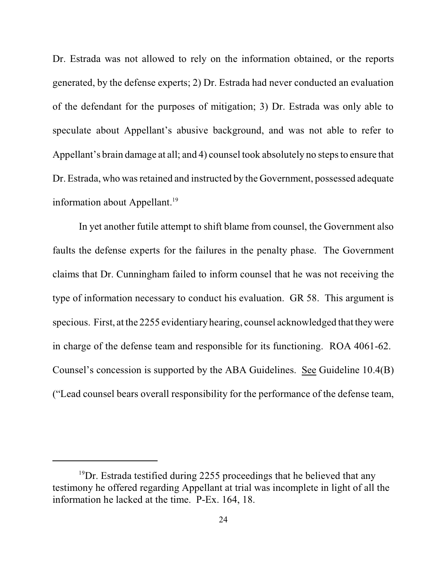Dr. Estrada was not allowed to rely on the information obtained, or the reports generated, by the defense experts; 2) Dr. Estrada had never conducted an evaluation of the defendant for the purposes of mitigation; 3) Dr. Estrada was only able to speculate about Appellant's abusive background, and was not able to refer to Appellant's brain damage at all; and 4) counsel took absolutely no steps to ensure that Dr. Estrada, who was retained and instructed by the Government, possessed adequate information about Appellant.<sup>19</sup>

In yet another futile attempt to shift blame from counsel, the Government also faults the defense experts for the failures in the penalty phase. The Government claims that Dr. Cunningham failed to inform counsel that he was not receiving the type of information necessary to conduct his evaluation. GR 58. This argument is specious. First, at the 2255 evidentiary hearing, counsel acknowledged that theywere in charge of the defense team and responsible for its functioning. ROA 4061-62. Counsel's concession is supported by the ABA Guidelines. See Guideline 10.4(B) ("Lead counsel bears overall responsibility for the performance of the defense team,

 $19$ Dr. Estrada testified during 2255 proceedings that he believed that any testimony he offered regarding Appellant at trial was incomplete in light of all the information he lacked at the time. P-Ex. 164, 18.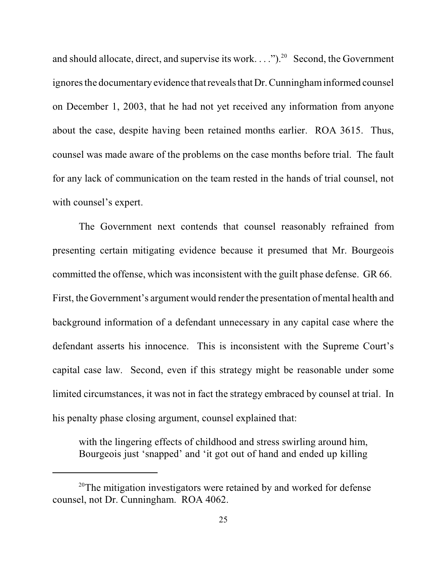and should allocate, direct, and supervise its work....").<sup>20</sup> Second, the Government ignores the documentary evidence that reveals that Dr. Cunningham informed counsel on December 1, 2003, that he had not yet received any information from anyone about the case, despite having been retained months earlier. ROA 3615. Thus, counsel was made aware of the problems on the case months before trial. The fault for any lack of communication on the team rested in the hands of trial counsel, not with counsel's expert.

The Government next contends that counsel reasonably refrained from presenting certain mitigating evidence because it presumed that Mr. Bourgeois committed the offense, which was inconsistent with the guilt phase defense. GR 66. First, the Government's argument would render the presentation of mental health and background information of a defendant unnecessary in any capital case where the defendant asserts his innocence. This is inconsistent with the Supreme Court's capital case law. Second, even if this strategy might be reasonable under some limited circumstances, it was not in fact the strategy embraced by counsel at trial. In his penalty phase closing argument, counsel explained that:

with the lingering effects of childhood and stress swirling around him, Bourgeois just 'snapped' and 'it got out of hand and ended up killing

 $20$ <sup>20</sup>The mitigation investigators were retained by and worked for defense counsel, not Dr. Cunningham. ROA 4062.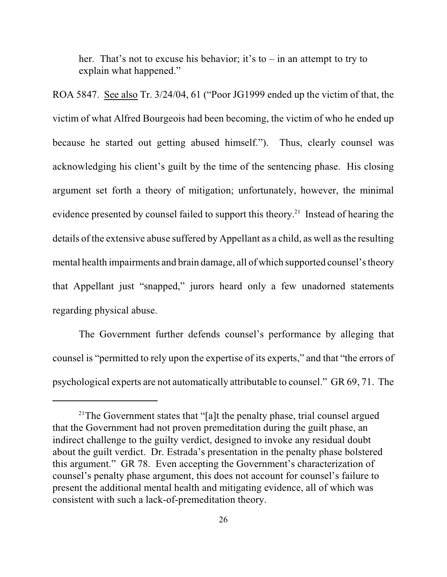her. That's not to excuse his behavior; it's to – in an attempt to try to explain what happened."

ROA 5847. See also Tr. 3/24/04, 61 ("Poor JG1999 ended up the victim of that, the victim of what Alfred Bourgeois had been becoming, the victim of who he ended up because he started out getting abused himself."). Thus, clearly counsel was acknowledging his client's guilt by the time of the sentencing phase. His closing argument set forth a theory of mitigation; unfortunately, however, the minimal evidence presented by counsel failed to support this theory.<sup>21</sup> Instead of hearing the details of the extensive abuse suffered by Appellant as a child, as well as the resulting mental health impairments and brain damage, all of which supported counsel's theory that Appellant just "snapped," jurors heard only a few unadorned statements regarding physical abuse.

The Government further defends counsel's performance by alleging that counsel is "permitted to rely upon the expertise of its experts," and that "the errors of psychological experts are not automatically attributable to counsel." GR 69, 71. The

<sup>&</sup>lt;sup>21</sup>The Government states that "[a]t the penalty phase, trial counsel argued that the Government had not proven premeditation during the guilt phase, an indirect challenge to the guilty verdict, designed to invoke any residual doubt about the guilt verdict. Dr. Estrada's presentation in the penalty phase bolstered this argument." GR 78. Even accepting the Government's characterization of counsel's penalty phase argument, this does not account for counsel's failure to present the additional mental health and mitigating evidence, all of which was consistent with such a lack-of-premeditation theory.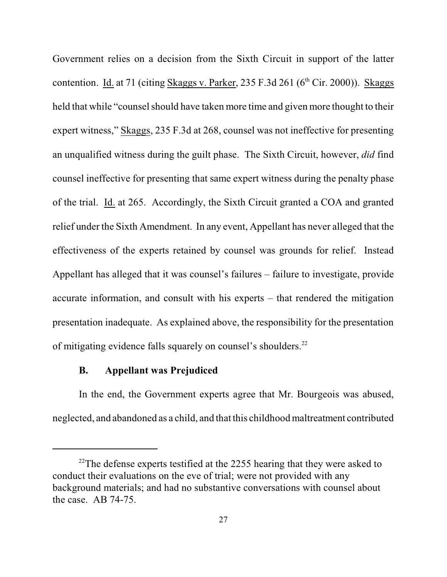Government relies on a decision from the Sixth Circuit in support of the latter contention. Id. at 71 (citing Skaggs v. Parker, 235 F.3d 261 ( $6<sup>th</sup>$  Cir. 2000)). Skaggs held that while "counsel should have taken more time and given more thought to their expert witness," Skaggs, 235 F.3d at 268, counsel was not ineffective for presenting an unqualified witness during the guilt phase. The Sixth Circuit, however, *did* find counsel ineffective for presenting that same expert witness during the penalty phase of the trial. Id. at 265. Accordingly, the Sixth Circuit granted a COA and granted relief under the Sixth Amendment. In any event, Appellant has never alleged that the effectiveness of the experts retained by counsel was grounds for relief. Instead Appellant has alleged that it was counsel's failures – failure to investigate, provide accurate information, and consult with his experts – that rendered the mitigation presentation inadequate. As explained above, the responsibility for the presentation of mitigating evidence falls squarely on counsel's shoulders.<sup>22</sup>

### **B. Appellant was Prejudiced**

In the end, the Government experts agree that Mr. Bourgeois was abused, neglected, and abandoned as a child, and that this childhood maltreatment contributed

 $22$ The defense experts testified at the 2255 hearing that they were asked to conduct their evaluations on the eve of trial; were not provided with any background materials; and had no substantive conversations with counsel about the case. AB 74-75.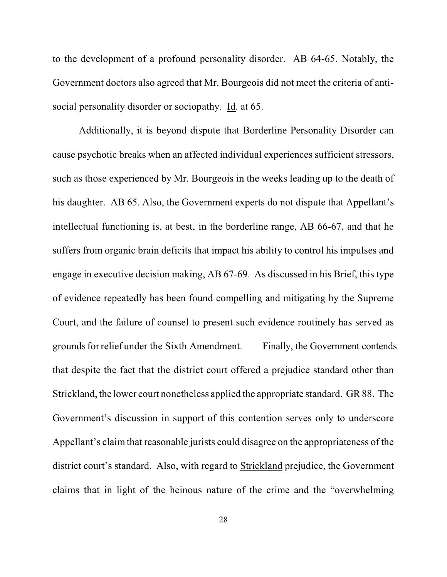to the development of a profound personality disorder. AB 64-65. Notably, the Government doctors also agreed that Mr. Bourgeois did not meet the criteria of antisocial personality disorder or sociopathy. Id. at 65.

Additionally, it is beyond dispute that Borderline Personality Disorder can cause psychotic breaks when an affected individual experiences sufficient stressors, such as those experienced by Mr. Bourgeois in the weeks leading up to the death of his daughter. AB 65. Also, the Government experts do not dispute that Appellant's intellectual functioning is, at best, in the borderline range, AB 66-67, and that he suffers from organic brain deficits that impact his ability to control his impulses and engage in executive decision making, AB 67-69. As discussed in his Brief, this type of evidence repeatedly has been found compelling and mitigating by the Supreme Court, and the failure of counsel to present such evidence routinely has served as grounds for relief under the Sixth Amendment. Finally, the Government contends that despite the fact that the district court offered a prejudice standard other than Strickland, the lower court nonetheless applied the appropriate standard. GR 88. The Government's discussion in support of this contention serves only to underscore Appellant's claim that reasonable jurists could disagree on the appropriateness of the district court's standard. Also, with regard to Strickland prejudice, the Government claims that in light of the heinous nature of the crime and the "overwhelming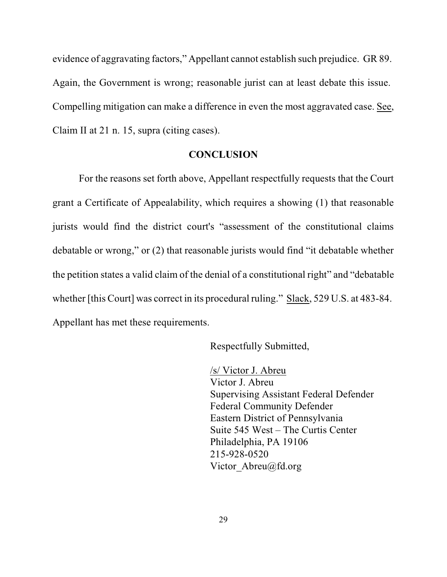evidence of aggravating factors," Appellant cannot establish such prejudice. GR 89. Again, the Government is wrong; reasonable jurist can at least debate this issue. Compelling mitigation can make a difference in even the most aggravated case. See, Claim II at 21 n. 15, supra (citing cases).

#### **CONCLUSION**

For the reasons set forth above, Appellant respectfully requests that the Court grant a Certificate of Appealability, which requires a showing (1) that reasonable jurists would find the district court's "assessment of the constitutional claims debatable or wrong," or (2) that reasonable jurists would find "it debatable whether the petition states a valid claim of the denial of a constitutional right" and "debatable whether [this Court] was correct in its procedural ruling." Slack, 529 U.S. at 483-84. Appellant has met these requirements.

Respectfully Submitted,

/s/ Victor J. Abreu Victor J. Abreu Supervising Assistant Federal Defender Federal Community Defender Eastern District of Pennsylvania Suite 545 West – The Curtis Center Philadelphia, PA 19106 215-928-0520 Victor Abreu@fd.org